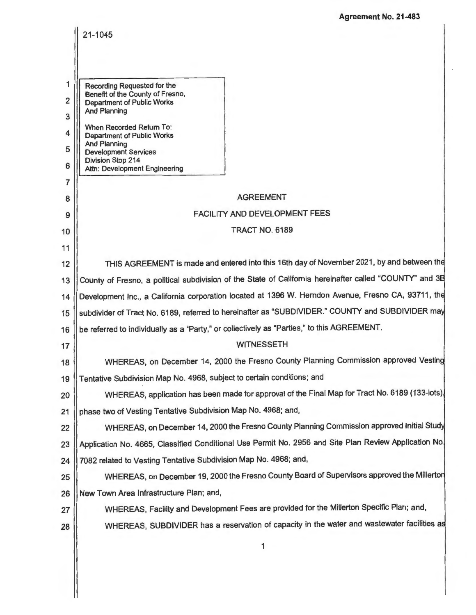**Agreement No. 21-483** 

|                     | 21-1045                                                                                                                                                                                                                                                                                              |  |  |
|---------------------|------------------------------------------------------------------------------------------------------------------------------------------------------------------------------------------------------------------------------------------------------------------------------------------------------|--|--|
|                     |                                                                                                                                                                                                                                                                                                      |  |  |
|                     |                                                                                                                                                                                                                                                                                                      |  |  |
| 1                   | Recording Requested for the<br>Benefit of the County of Fresno,                                                                                                                                                                                                                                      |  |  |
| $\overline{2}$<br>3 | <b>Department of Public Works</b><br><b>And Planning</b>                                                                                                                                                                                                                                             |  |  |
| 4                   | When Recorded Return To:                                                                                                                                                                                                                                                                             |  |  |
| 5                   | <b>Department of Public Works</b><br>And Planning                                                                                                                                                                                                                                                    |  |  |
| 6                   | <b>Development Services</b><br><b>Division Stop 214</b>                                                                                                                                                                                                                                              |  |  |
| $\overline{7}$      | Attn: Development Engineering                                                                                                                                                                                                                                                                        |  |  |
| 8                   | <b>AGREEMENT</b>                                                                                                                                                                                                                                                                                     |  |  |
| 9                   | <b>FACILITY AND DEVELOPMENT FEES</b>                                                                                                                                                                                                                                                                 |  |  |
| 10                  | <b>TRACT NO. 6189</b>                                                                                                                                                                                                                                                                                |  |  |
| 11                  |                                                                                                                                                                                                                                                                                                      |  |  |
| 12                  | THIS AGREEMENT is made and entered into this 16th day of November 2021, by and between the                                                                                                                                                                                                           |  |  |
| 13                  | County of Fresno, a political subdivision of the State of California hereinafter called "COUNTY" and 3B                                                                                                                                                                                              |  |  |
| 14                  | Development Inc., a California corporation located at 1396 W. Hemdon Avenue, Fresno CA, 93711, the<br>subdivider of Tract No. 6189, referred to hereinafter as "SUBDIVIDER." COUNTY and SUBDIVIDER may<br>be referred to individually as a "Party," or collectively as "Parties," to this AGREEMENT. |  |  |
| 15                  |                                                                                                                                                                                                                                                                                                      |  |  |
| 16                  |                                                                                                                                                                                                                                                                                                      |  |  |
| 17                  | <b>WITNESSETH</b>                                                                                                                                                                                                                                                                                    |  |  |
| 18                  | WHEREAS, on December 14, 2000 the Fresno County Planning Commission approved Vesting                                                                                                                                                                                                                 |  |  |
| 19                  | Tentative Subdivision Map No. 4968, subject to certain conditions; and                                                                                                                                                                                                                               |  |  |
| 20                  | WHEREAS, application has been made for approval of the Final Map for Tract No. 6189 (133-lots).                                                                                                                                                                                                      |  |  |
| 21                  | phase two of Vesting Tentative Subdivision Map No. 4968; and,                                                                                                                                                                                                                                        |  |  |
| 22                  | WHEREAS, on December 14, 2000 the Fresno County Planning Commission approved Initial Study                                                                                                                                                                                                           |  |  |
| 23                  | Application No. 4665, Classified Conditional Use Permit No. 2956 and Site Plan Review Application No.                                                                                                                                                                                                |  |  |
| 24                  | 7082 related to Vesting Tentative Subdivision Map No. 4968; and,                                                                                                                                                                                                                                     |  |  |
| 25                  | WHEREAS, on December 19, 2000 the Fresno County Board of Supervisors approved the Millerton                                                                                                                                                                                                          |  |  |
| 26                  | New Town Area Infrastructure Plan; and,                                                                                                                                                                                                                                                              |  |  |
| 27                  | WHEREAS, Facility and Development Fees are provided for the Millerton Specific Plan; and,                                                                                                                                                                                                            |  |  |
| 28                  | WHEREAS, SUBDIVIDER has a reservation of capacity in the water and wastewater facilities as                                                                                                                                                                                                          |  |  |
|                     | 1                                                                                                                                                                                                                                                                                                    |  |  |
|                     |                                                                                                                                                                                                                                                                                                      |  |  |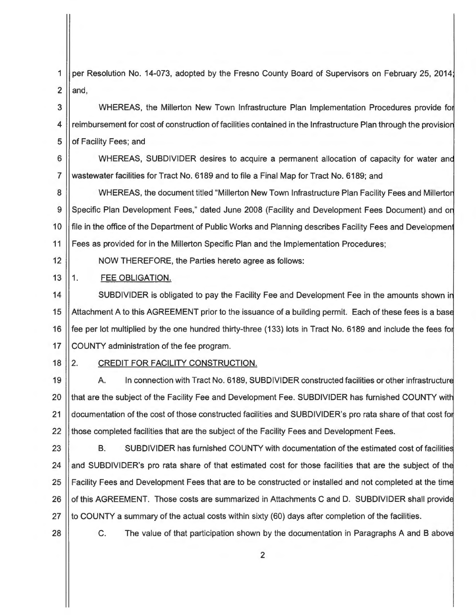1 per Resolution No. 14-073, adopted by the Fresno County Board of Supervisors on February 25, 2014  $2$  and,

3 | WHEREAS, the Millerton New Town Infrastructure Plan Implementation Procedures provide for 4 | reimbursement for cost of construction of facilities contained in the Infrastructure Plan through the provision 5 | of Facility Fees; and

6 | WHEREAS, SUBDIVIDER desires to acquire a permanent allocation of capacity for water and 7 wastewater facilities for Tract No. 6189 and to file a Final Map for Tract No. 6189; and

8 | WHEREAS, the document titled "Millerton New Town Infrastructure Plan Facility Fees and Millerton 9 || Specific Plan Development Fees," dated June 2008 (Facility and Development Fees Document) and on 10 | file in the office of the Department of Public Works and Planning describes Facility Fees and Development 11 | Fees as provided for in the Millerton Specific Plan and the Implementation Procedures;

12 NOW THEREFORE, the Parties hereto agree as follows:

13 1. **FEE** OBLIGATION.

14 | SUBDIVIDER is obligated to pay the Facility Fee and Development Fee in the amounts shown in 15 | Attachment A to this AGREEMENT prior to the issuance of a building permit. Each of these fees is a base 16 | fee per lot multiplied by the one hundred thirty-three (133) lots in Tract No. 6189 and include the fees for 17 | COUNTY administration of the fee program.

# 18 | 2. CREDIT FOR FACILITY CONSTRUCTION.

19 | A. In connection with Tract No. 6189, SUBDIVIDER constructed facilities or other infrastructure 20 || that are the subject of the Facility Fee and Development Fee. SUBDIVIDER has furnished COUNTY with 21 documentation of the cost of those constructed facilities and SUBDIVIDER's pro rata share of that cost for 22 || those completed facilities that are the subject of the Facility Fees and Development Fees.

23 **B.** SUBDIVIDER has furnished COUNTY with documentation of the estimated cost of facilities 24 and SUBDIVIDER's pro rata share of that estimated cost for those facilities that are the subject of the 25 | Facility Fees and Development Fees that are to be constructed or installed and not completed at the time 26 | of this AGREEMENT. Those costs are summarized in Attachments C and D. SUBDIVIDER shall provide 27  $\parallel$  to COUNTY a summary of the actual costs within sixty (60) days after completion of the facilities.

28 **C.** The value of that participation shown by the documentation in Paragraphs A and B above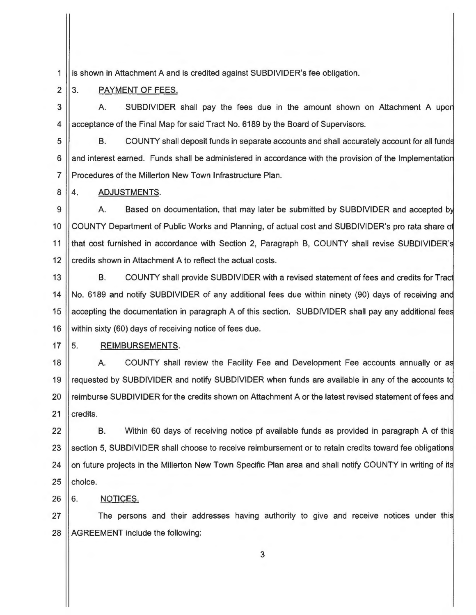1 is shown in Attachment A and is credited against SUBDIVIDER's fee obligation.

#### 2 3. PAYMENT OF FEES.

3 4 A. SUBDIVIDER shall pay the fees due in the amount shown on Attachment A upo acceptance of the Final Map for said Tract No. 6189 by the Board of Supervisors.

5 6 7 B. COUNTY shall deposit funds in separate accounts and shall accurately account for all fund and interest earned. Funds shall be administered in accordance with the provision of the Implementation Procedures of the Millerton New Town Infrastructure Plan.

8 4. ADJUSTMENTS.

9 10 11 12 A. Based on documentation, that may later be submitted by SUBDIVIDER and accepted b COUNTY Department of Public Works and Planning, of actual cost and SUBDIVIDER's pro rata share o that cost furnished in accordance with Section 2, Paragraph B, COUNTY shall revise SUBDIVIDER' credits shown in Attachment A to reflect the actual costs.

13 14 15 16 B. COUNTY shall provide SUBDIVIDER with a revised statement of fees and credits for Trac No. 6189 and notify SUBDIVIDER of any additional fees due within ninety (90) days of receiving and accepting the documentation in paragraph A of this section. SUBDIVIDER shall pay any additional fee within sixty (60) days of receiving notice of fees due.

#### 17 5. REIMBURSEMENTS.

18 19 20 21 A. COUNTY shall review the Facility Fee and Development Fee accounts annually or a requested by SUBDIVIDER and notify SUBDIVIDER when funds are available in any of the accounts t reimburse SUBDIVIDER for the credits shown on Attachment A or the latest revised statement of fees and credits.

22 23 24 25 B. Within 60 days of receiving notice pf available funds as provided in paragraph A of thi section 5, SUBDIVIDER shall choose to receive reimbursement or to retain credits toward fee obligations on future projects in the Millerton New Town Specific Plan area and shall notify COUNTY in writing of it choice.

# $26 \parallel 6$ . NOTICES.

27  $\parallel$  The persons and their addresses having authority to give and receive notices under this  $28$  | AGREEMENT include the following: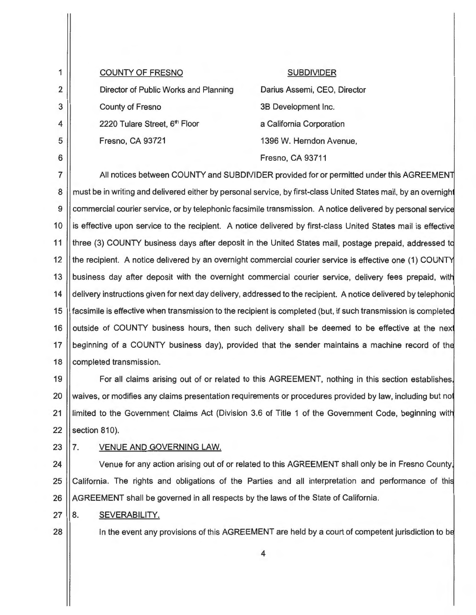1 2 3 4 5 6 COUNTY OF FRESNO Director of Public Works and Planning County of Fresno 2220 Tulare Street, 6<sup>th</sup> Floor Fresno, CA 93721 SUBDIVIDER Darius Assemi, CEO, Director 3B Development Inc. a California Corporation 1396 W. Herndon Avenue, Fresno, CA 93711 7  $\parallel$  All notices between COUNTY and SUBDIVIDER provided for or permitted under this AGREEMENT 8 | must be in writing and delivered either by personal service, by first-class United States mail, by an overnight 9 Commercial courier service, or by telephonic facsimile transmission. A notice delivered by personal service 10 I is effective upon service to the recipient. A notice delivered by first-class United States mail is effective 11 | three (3) COUNTY business days after deposit in the United States mail, postage prepaid, addressed to 12 || the recipient. A notice delivered by an overnight commercial courier service is effective one (1) COUNTY 13 | business day after deposit with the overnight commercial courier service, delivery fees prepaid, with 14 delivery instructions given for next day delivery, addressed to the recipient. A notice delivered by telephonid 15 **f** facsimile is effective when transmission to the recipient is completed (but, if such transmission is completed 16 | outside of COUNTY business hours, then such delivery shall be deemed to be effective at the next 17 I beginning of a COUNTY business day), provided that the sender maintains a machine record of the 18 | completed transmission. 19 | For all claims arising out of or related to this AGREEMENT, nothing in this section establishes, 20 Waives, or modifies any claims presentation requirements or procedures provided by law, including but not 21 | limited to the Government Claims Act (Division 3.6 of Title 1 of the Government Code, beginning with  $22$  | section 810). 23 | 7. VENUE AND GOVERNING LAW. 24 | Venue for any action arising out of or related to this AGREEMENT shall only be in Fresno County. 25 California. The rights and obligations of the Parties and all interpretation and performance of this  $26$   $\parallel$  AGREEMENT shall be governed in all respects by the laws of the State of California.  $27 \parallel 8$ . SEVERABILITY. 28 || In the event any provisions of this AGREEMENT are held by a court of competent jurisdiction to be 4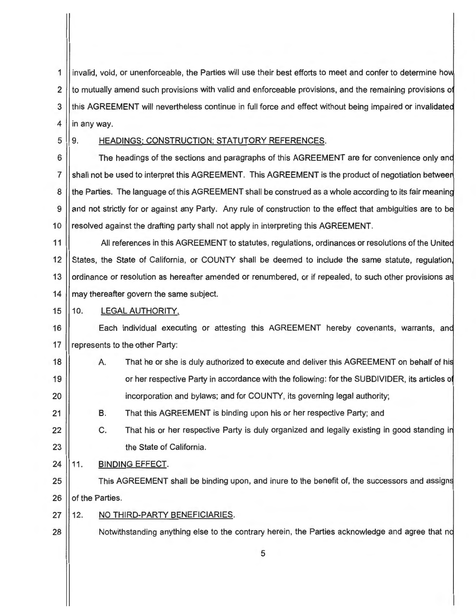1 || invalid, void, or unenforceable, the Parties will use their best efforts to meet and confer to determine how 2 | to mutually amend such provisions with valid and enforceable provisions, and the remaining provisions of 3 || this AGREEMENT will nevertheless continue in full force and effect without being impaired or invalidated  $4$  || in any way.

# 5 9. HEADINGS; CONSTRUCTION; STATUTORY REFERENCES.

6  $\vert$  The headings of the sections and paragraphs of this AGREEMENT are for convenience only and 7 Shall not be used to interpret this AGREEMENT. This AGREEMENT is the product of negotiation between 8 || the Parties. The language of this AGREEMENT shall be construed as a whole according to its fair meaning 9 and not strictly for or against any Party. Any rule of construction to the effect that ambiguities are to be 10 | resolved against the drafting party shall not apply in interpreting this AGREEMENT.

11 | All references in this AGREEMENT to statutes, regulations, ordinances or resolutions of the United 12 States, the State of California, or COUNTY shall be deemed to include the same statute, regulation, 13 | ordinance or resolution as hereafter amended or renumbered, or if repealed, to such other provisions as 14 may thereafter govern the same subject.

# 15 || 10. LEGAL AUTHORITY.

16 | Each individual executing or attesting this AGREEMENT hereby covenants, warrants, and 17 || represents to the other Party:

18 || A. That he or she is duly authorized to execute and deliver this AGREEMENT on behalf of his 19 | or her respective Party in accordance with the following: for the SUBDIVIDER, its articles of 20 incorporation and bylaws; and for COUNTY, its governing legal authority;

21 B. That this AGREEMENT is binding upon his or her respective Party; and

- 22 23 C. That his or her respective Party is duly organized and legally existing in good standing in the State of California.
- 24 11. **BINDING** EFFECT.
- 25  $\parallel$  This AGREEMENT shall be binding upon, and inure to the benefit of, the successors and assigns 26 **o**f the Parties.
- 27 12. NO THIRD-PARTY BENEFICIARIES.
- 28 | Notwithstanding anything else to the contrary herein, the Parties acknowledge and agree that no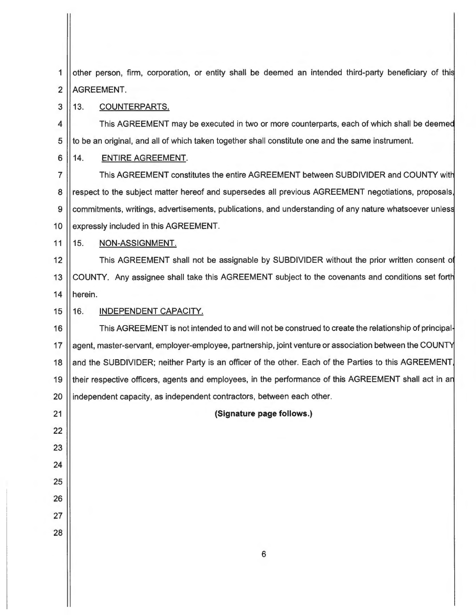| 1              | other person, firm, corporation, or entity shall be deemed an intended third-party beneficiary of this |
|----------------|--------------------------------------------------------------------------------------------------------|
| $\overline{2}$ | AGREEMENT.                                                                                             |
| 3              | 13.<br>COUNTERPARTS.                                                                                   |
| 4              | This AGREEMENT may be executed in two or more counterparts, each of which shall be deemed              |
| 5              | to be an original, and all of which taken together shall constitute one and the same instrument.       |
| 6              | 14.<br><b>ENTIRE AGREEMENT.</b>                                                                        |
| $\overline{7}$ | This AGREEMENT constitutes the entire AGREEMENT between SUBDIVIDER and COUNTY with                     |
| 8              | respect to the subject matter hereof and supersedes all previous AGREEMENT negotiations, proposals,    |
| 9              | commitments, writings, advertisements, publications, and understanding of any nature whatsoever unless |
| 10             | expressly included in this AGREEMENT.                                                                  |
| 11             | 15.<br>NON-ASSIGNMENT.                                                                                 |
| 12             | This AGREEMENT shall not be assignable by SUBDIVIDER without the prior written consent of              |
| 13             | COUNTY. Any assignee shall take this AGREEMENT subject to the covenants and conditions set forth       |
| 14             | herein.                                                                                                |
| 15             | INDEPENDENT CAPACITY.<br>16.                                                                           |
| 16             | This AGREEMENT is not intended to and will not be construed to create the relationship of principal-   |
| 17             | agent, master-servant, employer-employee, partnership, joint venture or association between the COUNTY |
| 18             | and the SUBDIVIDER; neither Party is an officer of the other. Each of the Parties to this AGREEMENT,   |
| 19             | their respective officers, agents and employees, in the performance of this AGREEMENT shall act in an  |
| 20             | independent capacity, as independent contractors, between each other.                                  |
| 21             | (Signature page follows.)                                                                              |
| 22             |                                                                                                        |
| 23             |                                                                                                        |
| 24             |                                                                                                        |
| 25             |                                                                                                        |
| 26             |                                                                                                        |
| 27             |                                                                                                        |
| 28             |                                                                                                        |
|                | $\boldsymbol{6}$                                                                                       |
|                |                                                                                                        |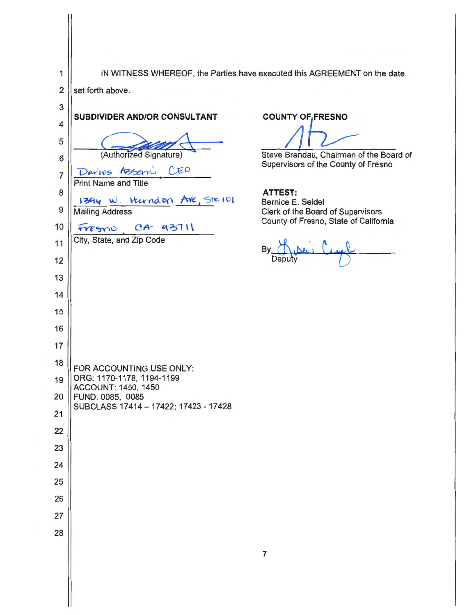1 | IN WITNESS WHEREOF, the Parties have executed this AGREEMENT on the date

2 set forth above. 3 **SUBDIVIDER AND/OR CONSULTANT COUNTY OF FRESNO** 4 **~~i.----** (Authonzed Signature) 5 (Authorized Signature)<br>
Davive Assemi CEO<br>
Print Name and Title Steve Brandau, Chairman of the Board of 6 Supervisors of the County of Fresno 7 8 **ATTEST:**  1394 W. Harndon Are, Ste 101 Bernice **E.** Seidel 9 | Mailing Address Clerk of the Board of Supervisors County of Fresno, State of California Fresno, CA 93711 10 City, State, and Zip Code 11 Deputy 12 13 14 15 16 17 18 |FOR ACCOUNTING USE ONLY: 19 ORG: 1170-1178, 1194-1199 ACCOUNT: 1450, 1450 20 FUND: 0085, 0085 SUBCLASS 17414-17422; 17423-17428 21 22 23 24 25 26 27 28 7